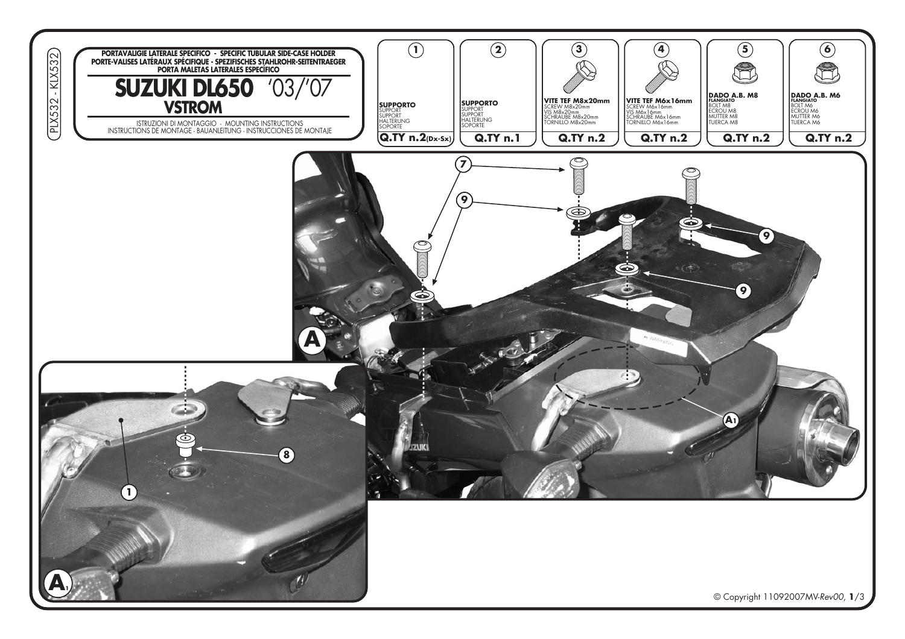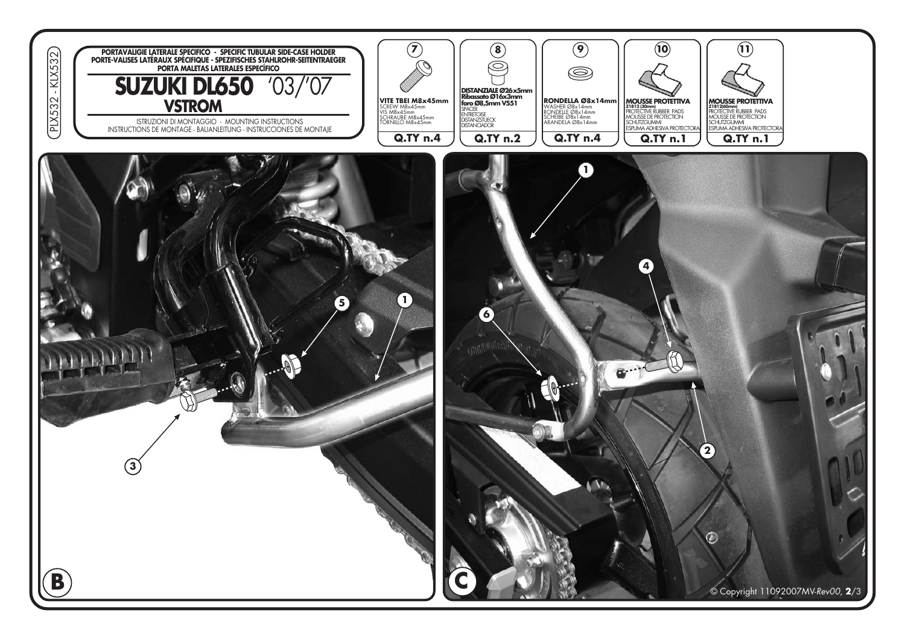